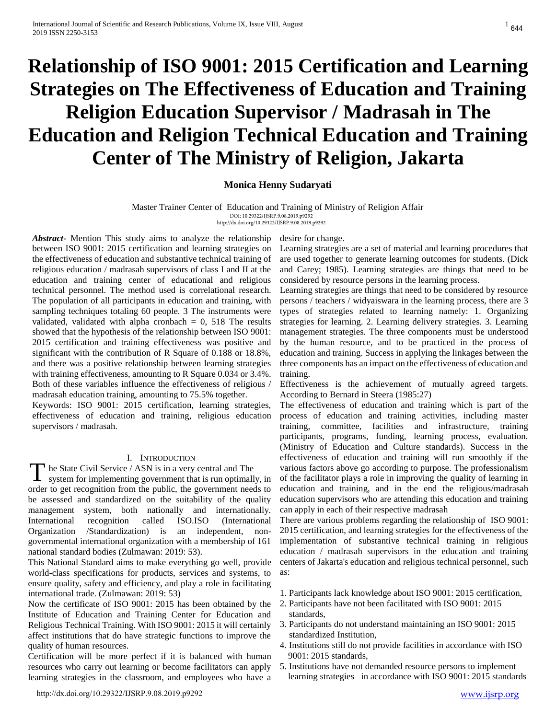# **Relationship of ISO 9001: 2015 Certification and Learning Strategies on The Effectiveness of Education and Training Religion Education Supervisor / Madrasah in The Education and Religion Technical Education and Training Center of The Ministry of Religion, Jakarta**

# **Monica Henny Sudaryati**

Master Trainer Center of Education and Training of Ministry of Religion Affair DOI: 10.29322/IJSRP.9.08.2019.p9292

http://dx.doi.org/10.29322/IJSRP.9.08.2019.p9292

*Abstract***-** Mention This study aims to analyze the relationship between ISO 9001: 2015 certification and learning strategies on the effectiveness of education and substantive technical training of religious education / madrasah supervisors of class I and II at the education and training center of educational and religious technical personnel. The method used is correlational research. The population of all participants in education and training, with sampling techniques totaling 60 people. 3 The instruments were validated, validated with alpha cronbach  $= 0$ , 518 The results showed that the hypothesis of the relationship between ISO 9001: 2015 certification and training effectiveness was positive and significant with the contribution of R Square of 0.188 or 18.8%, and there was a positive relationship between learning strategies with training effectiveness, amounting to R Square 0.034 or 3.4%. Both of these variables influence the effectiveness of religious / madrasah education training, amounting to 75.5% together.

Keywords: ISO 9001: 2015 certification, learning strategies, effectiveness of education and training, religious education supervisors / madrasah.

## I. INTRODUCTION

he State Civil Service / ASN is in a very central and The

The State Civil Service / ASN is in a very central and The system for implementing government that is run optimally, in order to get recognition from the public, the government needs to be assessed and standardized on the suitability of the quality management system, both nationally and internationally.<br>International recognition called ISO.ISO (International International recognition called ISO.ISO (International Organization /Standardization) is an independent, nongovernmental international organization with a membership of 161 national standard bodies (Zulmawan: 2019: 53).

This National Standard aims to make everything go well, provide world-class specifications for products, services and systems, to ensure quality, safety and efficiency, and play a role in facilitating international trade. (Zulmawan: 2019: 53)

Now the certificate of ISO 9001: 2015 has been obtained by the Institute of Education and Training Center for Education and Religious Technical Training. With ISO 9001: 2015 it will certainly affect institutions that do have strategic functions to improve the quality of human resources.

Certification will be more perfect if it is balanced with human resources who carry out learning or become facilitators can apply learning strategies in the classroom, and employees who have a

[http://dx.doi.org/10.29322/IJSRP.9.08.2019.p9292](http://dx.doi.org/10.29322/IJSRP.X.X.2019.pXXXX) [www.ijsrp.org](http://ijsrp.org/)

desire for change.

Learning strategies are a set of material and learning procedures that are used together to generate learning outcomes for students. (Dick and Carey; 1985). Learning strategies are things that need to be considered by resource persons in the learning process.

Learning strategies are things that need to be considered by resource persons / teachers / widyaiswara in the learning process, there are 3 types of strategies related to learning namely: 1. Organizing strategies for learning. 2. Learning delivery strategies. 3. Learning management strategies. The three components must be understood by the human resource, and to be practiced in the process of education and training. Success in applying the linkages between the three components has an impact on the effectiveness of education and training.

Effectiveness is the achievement of mutually agreed targets. According to Bernard in Steera (1985:27)

The effectiveness of education and training which is part of the process of education and training activities, including master training, committee, facilities and infrastructure, training participants, programs, funding, learning process, evaluation. (Ministry of Education and Culture standards). Success in the effectiveness of education and training will run smoothly if the various factors above go according to purpose. The professionalism of the facilitator plays a role in improving the quality of learning in education and training, and in the end the religious/madrasah education supervisors who are attending this education and training can apply in each of their respective madrasah

There are various problems regarding the relationship of ISO 9001: 2015 certification, and learning strategies for the effectiveness of the implementation of substantive technical training in religious education / madrasah supervisors in the education and training centers of Jakarta's education and religious technical personnel, such as:

- 1. Participants lack knowledge about ISO 9001: 2015 certification,
- 2. Participants have not been facilitated with ISO 9001: 2015 standards,
- 3. Participants do not understand maintaining an ISO 9001: 2015 standardized Institution,
- 4. Institutions still do not provide facilities in accordance with ISO 9001: 2015 standards,
- 5. Institutions have not demanded resource persons to implement learning strategies in accordance with ISO 9001: 2015 standards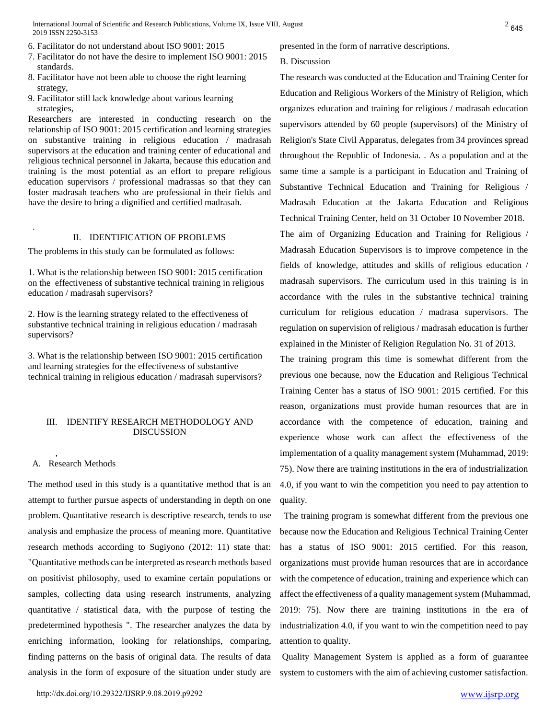International Journal of Scientific and Research Publications, Volume IX, Issue VIII, August 2019 ISSN 2250-3153

- 6. Facilitator do not understand about ISO 9001: 2015
- 7. Facilitator do not have the desire to implement ISO 9001: 2015 standards.
- 8. Facilitator have not been able to choose the right learning strategy,
- 9. Facilitator still lack knowledge about various learning strategies,

Researchers are interested in conducting research on the relationship of ISO 9001: 2015 certification and learning strategies on substantive training in religious education / madrasah supervisors at the education and training center of educational and religious technical personnel in Jakarta, because this education and training is the most potential as an effort to prepare religious education supervisors / professional madrassas so that they can foster madrasah teachers who are professional in their fields and have the desire to bring a dignified and certified madrasah.

### II. IDENTIFICATION OF PROBLEMS

The problems in this study can be formulated as follows:

1. What is the relationship between ISO 9001: 2015 certification on the effectiveness of substantive technical training in religious education / madrasah supervisors?

2. How is the learning strategy related to the effectiveness of substantive technical training in religious education / madrasah supervisors?

3. What is the relationship between ISO 9001: 2015 certification and learning strategies for the effectiveness of substantive technical training in religious education / madrasah supervisors?

## III. IDENTIFY RESEARCH METHODOLOGY AND DISCUSSION

## A. Research Methods

,

.

The method used in this study is a quantitative method that is an attempt to further pursue aspects of understanding in depth on one problem. Quantitative research is descriptive research, tends to use analysis and emphasize the process of meaning more. Quantitative research methods according to Sugiyono (2012: 11) state that: "Quantitative methods can be interpreted as research methods based on positivist philosophy, used to examine certain populations or samples, collecting data using research instruments, analyzing quantitative / statistical data, with the purpose of testing the predetermined hypothesis ". The researcher analyzes the data by enriching information, looking for relationships, comparing, finding patterns on the basis of original data. The results of data analysis in the form of exposure of the situation under study are presented in the form of narrative descriptions.

#### B. Discussion

The research was conducted at the Education and Training Center for Education and Religious Workers of the Ministry of Religion, which organizes education and training for religious / madrasah education supervisors attended by 60 people (supervisors) of the Ministry of Religion's State Civil Apparatus, delegates from 34 provinces spread throughout the Republic of Indonesia. . As a population and at the same time a sample is a participant in Education and Training of Substantive Technical Education and Training for Religious / Madrasah Education at the Jakarta Education and Religious Technical Training Center, held on 31 October 10 November 2018. The aim of Organizing Education and Training for Religious /

Madrasah Education Supervisors is to improve competence in the fields of knowledge, attitudes and skills of religious education / madrasah supervisors. The curriculum used in this training is in accordance with the rules in the substantive technical training curriculum for religious education / madrasa supervisors. The regulation on supervision of religious / madrasah education is further explained in the Minister of Religion Regulation No. 31 of 2013.

The training program this time is somewhat different from the previous one because, now the Education and Religious Technical Training Center has a status of ISO 9001: 2015 certified. For this reason, organizations must provide human resources that are in accordance with the competence of education, training and experience whose work can affect the effectiveness of the implementation of a quality management system (Muhammad, 2019: 75). Now there are training institutions in the era of industrialization 4.0, if you want to win the competition you need to pay attention to quality.

The training program is somewhat different from the previous one because now the Education and Religious Technical Training Center has a status of ISO 9001: 2015 certified. For this reason, organizations must provide human resources that are in accordance with the competence of education, training and experience which can affect the effectiveness of a quality management system (Muhammad, 2019: 75). Now there are training institutions in the era of industrialization 4.0, if you want to win the competition need to pay attention to quality.

 Quality Management System is applied as a form of guarantee system to customers with the aim of achieving customer satisfaction.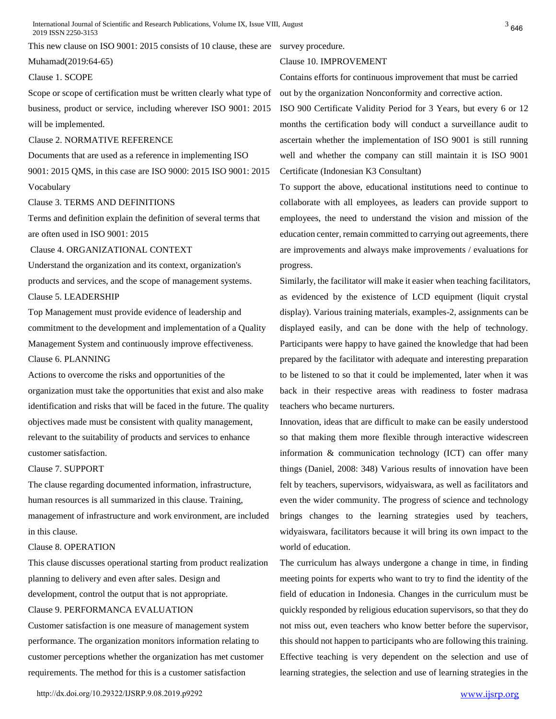International Journal of Scientific and Research Publications, Volume IX, Issue VIII, August 2019 ISSN 2250-3153

This new clause on ISO 9001: 2015 consists of 10 clause, these are survey procedure.

Muhamad(2019:64-65)

#### Clause 1. SCOPE

Scope or scope of certification must be written clearly what type of business, product or service, including wherever ISO 9001: 2015 will be implemented.

# Clause 2. NORMATIVE REFERENCE

Documents that are used as a reference in implementing ISO 9001: 2015 QMS, in this case are ISO 9000: 2015 ISO 9001: 2015 Vocabulary

#### Clause 3. TERMS AND DEFINITIONS

Terms and definition explain the definition of several terms that are often used in ISO 9001: 2015

Clause 4. ORGANIZATIONAL CONTEXT

Understand the organization and its context, organization's products and services, and the scope of management systems. Clause 5. LEADERSHIP

Top Management must provide evidence of leadership and commitment to the development and implementation of a Quality Management System and continuously improve effectiveness.

# Clause 6. PLANNING

Actions to overcome the risks and opportunities of the organization must take the opportunities that exist and also make identification and risks that will be faced in the future. The quality objectives made must be consistent with quality management, relevant to the suitability of products and services to enhance customer satisfaction.

## Clause 7. SUPPORT

The clause regarding documented information, infrastructure, human resources is all summarized in this clause. Training, management of infrastructure and work environment, are included in this clause.

#### Clause 8. OPERATION

This clause discusses operational starting from product realization planning to delivery and even after sales. Design and

development, control the output that is not appropriate.

# Clause 9. PERFORMANCA EVALUATION

Customer satisfaction is one measure of management system performance. The organization monitors information relating to customer perceptions whether the organization has met customer requirements. The method for this is a customer satisfaction

Clause 10. IMPROVEMENT

Contains efforts for continuous improvement that must be carried out by the organization Nonconformity and corrective action.

ISO 900 Certificate Validity Period for 3 Years, but every 6 or 12 months the certification body will conduct a surveillance audit to ascertain whether the implementation of ISO 9001 is still running well and whether the company can still maintain it is ISO 9001 Certificate (Indonesian K3 Consultant)

To support the above, educational institutions need to continue to collaborate with all employees, as leaders can provide support to employees, the need to understand the vision and mission of the education center, remain committed to carrying out agreements, there are improvements and always make improvements / evaluations for progress.

Similarly, the facilitator will make it easier when teaching facilitators, as evidenced by the existence of LCD equipment (liquit crystal display). Various training materials, examples-2, assignments can be displayed easily, and can be done with the help of technology. Participants were happy to have gained the knowledge that had been prepared by the facilitator with adequate and interesting preparation to be listened to so that it could be implemented, later when it was back in their respective areas with readiness to foster madrasa teachers who became nurturers.

Innovation, ideas that are difficult to make can be easily understood so that making them more flexible through interactive widescreen information & communication technology (ICT) can offer many things (Daniel, 2008: 348) Various results of innovation have been felt by teachers, supervisors, widyaiswara, as well as facilitators and even the wider community. The progress of science and technology brings changes to the learning strategies used by teachers, widyaiswara, facilitators because it will bring its own impact to the world of education.

The curriculum has always undergone a change in time, in finding meeting points for experts who want to try to find the identity of the field of education in Indonesia. Changes in the curriculum must be quickly responded by religious education supervisors, so that they do not miss out, even teachers who know better before the supervisor, this should not happen to participants who are following this training. Effective teaching is very dependent on the selection and use of learning strategies, the selection and use of learning strategies in the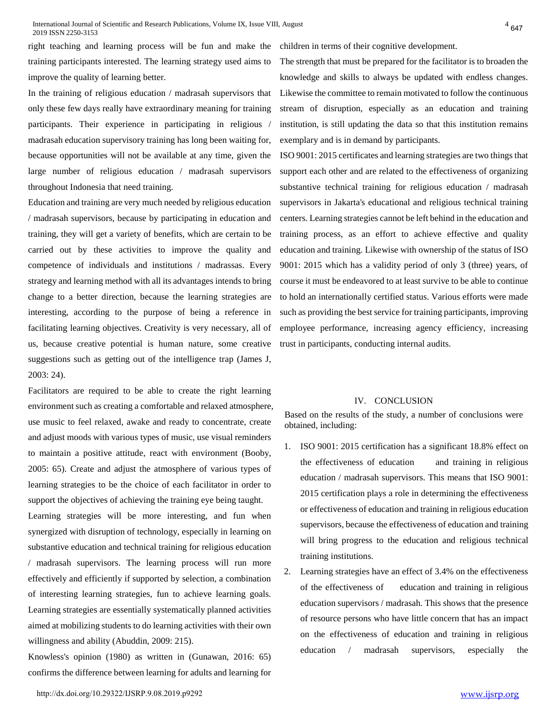right teaching and learning process will be fun and make the training participants interested. The learning strategy used aims to improve the quality of learning better.

In the training of religious education / madrasah supervisors that only these few days really have extraordinary meaning for training participants. Their experience in participating in religious / madrasah education supervisory training has long been waiting for, because opportunities will not be available at any time, given the large number of religious education / madrasah supervisors throughout Indonesia that need training.

Education and training are very much needed by religious education / madrasah supervisors, because by participating in education and training, they will get a variety of benefits, which are certain to be carried out by these activities to improve the quality and competence of individuals and institutions / madrassas. Every strategy and learning method with all its advantages intends to bring change to a better direction, because the learning strategies are interesting, according to the purpose of being a reference in facilitating learning objectives. Creativity is very necessary, all of us, because creative potential is human nature, some creative suggestions such as getting out of the intelligence trap (James J, 2003: 24).

Facilitators are required to be able to create the right learning environment such as creating a comfortable and relaxed atmosphere, use music to feel relaxed, awake and ready to concentrate, create and adjust moods with various types of music, use visual reminders to maintain a positive attitude, react with environment (Booby, 2005: 65). Create and adjust the atmosphere of various types of learning strategies to be the choice of each facilitator in order to support the objectives of achieving the training eye being taught.

Learning strategies will be more interesting, and fun when synergized with disruption of technology, especially in learning on substantive education and technical training for religious education / madrasah supervisors. The learning process will run more effectively and efficiently if supported by selection, a combination of interesting learning strategies, fun to achieve learning goals. Learning strategies are essentially systematically planned activities aimed at mobilizing students to do learning activities with their own willingness and ability (Abuddin, 2009: 215).

Knowless's opinion (1980) as written in (Gunawan, 2016: 65) confirms the difference between learning for adults and learning for

children in terms of their cognitive development.

The strength that must be prepared for the facilitator is to broaden the knowledge and skills to always be updated with endless changes. Likewise the committee to remain motivated to follow the continuous stream of disruption, especially as an education and training institution, is still updating the data so that this institution remains exemplary and is in demand by participants.

ISO 9001: 2015 certificates and learning strategies are two things that support each other and are related to the effectiveness of organizing substantive technical training for religious education / madrasah supervisors in Jakarta's educational and religious technical training centers. Learning strategies cannot be left behind in the education and training process, as an effort to achieve effective and quality education and training. Likewise with ownership of the status of ISO 9001: 2015 which has a validity period of only 3 (three) years, of course it must be endeavored to at least survive to be able to continue to hold an internationally certified status. Various efforts were made such as providing the best service for training participants, improving employee performance, increasing agency efficiency, increasing trust in participants, conducting internal audits.

#### IV. CONCLUSION

Based on the results of the study, a number of conclusions were obtained, including:

- 1. ISO 9001: 2015 certification has a significant 18.8% effect on the effectiveness of education and training in religious education / madrasah supervisors. This means that ISO 9001: 2015 certification plays a role in determining the effectiveness or effectiveness of education and training in religious education supervisors, because the effectiveness of education and training will bring progress to the education and religious technical training institutions.
- 2. Learning strategies have an effect of 3.4% on the effectiveness of the effectiveness of education and training in religious education supervisors / madrasah. This shows that the presence of resource persons who have little concern that has an impact on the effectiveness of education and training in religious education / madrasah supervisors, especially the